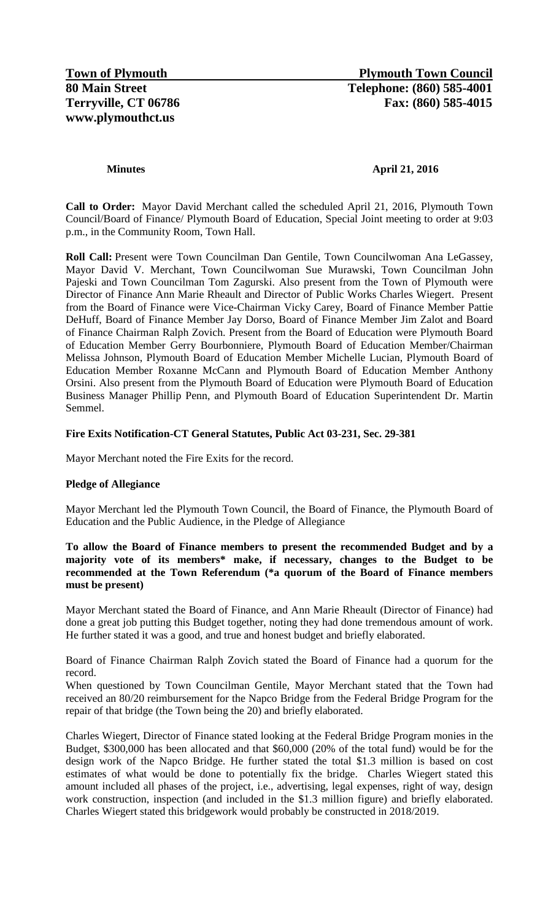# **Minutes April 21, 2016**

**Call to Order:** Mayor David Merchant called the scheduled April 21, 2016, Plymouth Town Council/Board of Finance/ Plymouth Board of Education, Special Joint meeting to order at 9:03 p.m., in the Community Room, Town Hall.

**Roll Call:** Present were Town Councilman Dan Gentile, Town Councilwoman Ana LeGassey, Mayor David V. Merchant, Town Councilwoman Sue Murawski, Town Councilman John Pajeski and Town Councilman Tom Zagurski. Also present from the Town of Plymouth were Director of Finance Ann Marie Rheault and Director of Public Works Charles Wiegert. Present from the Board of Finance were Vice-Chairman Vicky Carey, Board of Finance Member Pattie DeHuff, Board of Finance Member Jay Dorso, Board of Finance Member Jim Zalot and Board of Finance Chairman Ralph Zovich. Present from the Board of Education were Plymouth Board of Education Member Gerry Bourbonniere, Plymouth Board of Education Member/Chairman Melissa Johnson, Plymouth Board of Education Member Michelle Lucian, Plymouth Board of Education Member Roxanne McCann and Plymouth Board of Education Member Anthony Orsini. Also present from the Plymouth Board of Education were Plymouth Board of Education Business Manager Phillip Penn, and Plymouth Board of Education Superintendent Dr. Martin Semmel.

# **Fire Exits Notification-CT General Statutes, Public Act 03-231, Sec. 29-381**

Mayor Merchant noted the Fire Exits for the record.

### **Pledge of Allegiance**

Mayor Merchant led the Plymouth Town Council, the Board of Finance, the Plymouth Board of Education and the Public Audience, in the Pledge of Allegiance

## **To allow the Board of Finance members to present the recommended Budget and by a majority vote of its members\* make, if necessary, changes to the Budget to be recommended at the Town Referendum (\*a quorum of the Board of Finance members must be present)**

Mayor Merchant stated the Board of Finance, and Ann Marie Rheault (Director of Finance) had done a great job putting this Budget together, noting they had done tremendous amount of work. He further stated it was a good, and true and honest budget and briefly elaborated.

Board of Finance Chairman Ralph Zovich stated the Board of Finance had a quorum for the record.

When questioned by Town Councilman Gentile, Mayor Merchant stated that the Town had received an 80/20 reimbursement for the Napco Bridge from the Federal Bridge Program for the repair of that bridge (the Town being the 20) and briefly elaborated.

Charles Wiegert, Director of Finance stated looking at the Federal Bridge Program monies in the Budget, \$300,000 has been allocated and that \$60,000 (20% of the total fund) would be for the design work of the Napco Bridge. He further stated the total \$1.3 million is based on cost estimates of what would be done to potentially fix the bridge. Charles Wiegert stated this amount included all phases of the project, i.e., advertising, legal expenses, right of way, design work construction, inspection (and included in the \$1.3 million figure) and briefly elaborated. Charles Wiegert stated this bridgework would probably be constructed in 2018/2019.